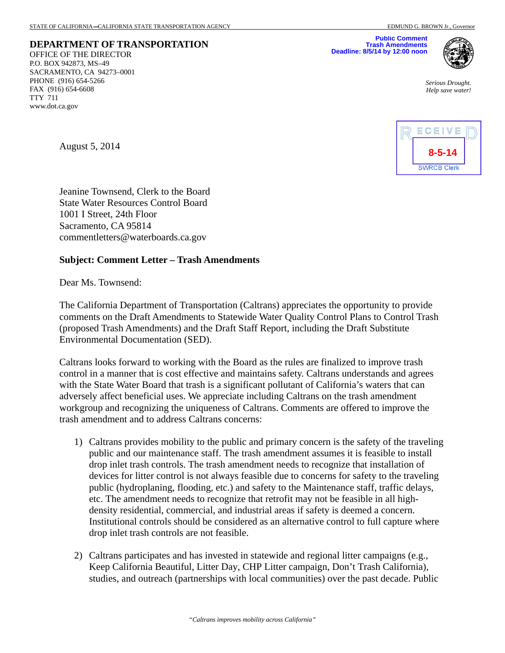**DEPARTMENT OF TRANSPORTATION**  OFFICE OF THE DIRECTOR P.O. BOX 942873, MS–49 SACRAMENTO, CA 94273–0001 PHONE (916) 654-5266 FAX (916) 654-6608 TTY 711 www.dot.ca.gov

**Public Comment Trash Amendments Deadline: 8/5/14 by 12:00 noon**



*Serious Drought. Help save water!* 



August 5, 2014

Jeanine Townsend, Clerk to the Board State Water Resources Control Board 1001 I Street, 24th Floor Sacramento, CA 95814 commentletters@waterboards.ca.gov

#### **Subject: Comment Letter – Trash Amendments**

Dear Ms. Townsend:

The California Department of Transportation (Caltrans) appreciates the opportunity to provide comments on the Draft Amendments to Statewide Water Quality Control Plans to Control Trash (proposed Trash Amendments) and the Draft Staff Report, including the Draft Substitute Environmental Documentation (SED).

Caltrans looks forward to working with the Board as the rules are finalized to improve trash control in a manner that is cost effective and maintains safety. Caltrans understands and agrees with the State Water Board that trash is a significant pollutant of California's waters that can adversely affect beneficial uses. We appreciate including Caltrans on the trash amendment workgroup and recognizing the uniqueness of Caltrans. Comments are offered to improve the trash amendment and to address Caltrans concerns:

- 1) Caltrans provides mobility to the public and primary concern is the safety of the traveling public and our maintenance staff. The trash amendment assumes it is feasible to install drop inlet trash controls. The trash amendment needs to recognize that installation of devices for litter control is not always feasible due to concerns for safety to the traveling public (hydroplaning, flooding, etc.) and safety to the Maintenance staff, traffic delays, etc. The amendment needs to recognize that retrofit may not be feasible in all highdensity residential, commercial, and industrial areas if safety is deemed a concern. Institutional controls should be considered as an alternative control to full capture where drop inlet trash controls are not feasible.
- 2) Caltrans participates and has invested in statewide and regional litter campaigns (e.g., Keep California Beautiful, Litter Day, CHP Litter campaign, Don't Trash California), studies, and outreach (partnerships with local communities) over the past decade. Public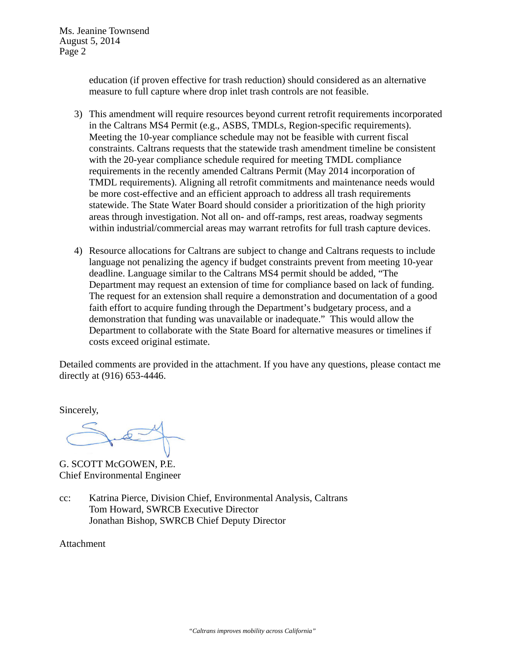education (if proven effective for trash reduction) should considered as an alternative measure to full capture where drop inlet trash controls are not feasible.

- 3) This amendment will require resources beyond current retrofit requirements incorporated in the Caltrans MS4 Permit (e.g., ASBS, TMDLs, Region-specific requirements). Meeting the 10-year compliance schedule may not be feasible with current fiscal constraints. Caltrans requests that the statewide trash amendment timeline be consistent with the 20-year compliance schedule required for meeting TMDL compliance requirements in the recently amended Caltrans Permit (May 2014 incorporation of TMDL requirements). Aligning all retrofit commitments and maintenance needs would be more cost-effective and an efficient approach to address all trash requirements statewide. The State Water Board should consider a prioritization of the high priority areas through investigation. Not all on- and off-ramps, rest areas, roadway segments within industrial/commercial areas may warrant retrofits for full trash capture devices.
- 4) Resource allocations for Caltrans are subject to change and Caltrans requests to include language not penalizing the agency if budget constraints prevent from meeting 10-year deadline. Language similar to the Caltrans MS4 permit should be added, "The Department may request an extension of time for compliance based on lack of funding. The request for an extension shall require a demonstration and documentation of a good faith effort to acquire funding through the Department's budgetary process, and a demonstration that funding was unavailable or inadequate." This would allow the Department to collaborate with the State Board for alternative measures or timelines if costs exceed original estimate.

Detailed comments are provided in the attachment. If you have any questions, please contact me directly at (916) 653-4446.

Sincerely,

G. SCOTT McGOWEN, P.E. Chief Environmental Engineer

cc: Katrina Pierce, Division Chief, Environmental Analysis, Caltrans Tom Howard, SWRCB Executive Director Jonathan Bishop, SWRCB Chief Deputy Director

Attachment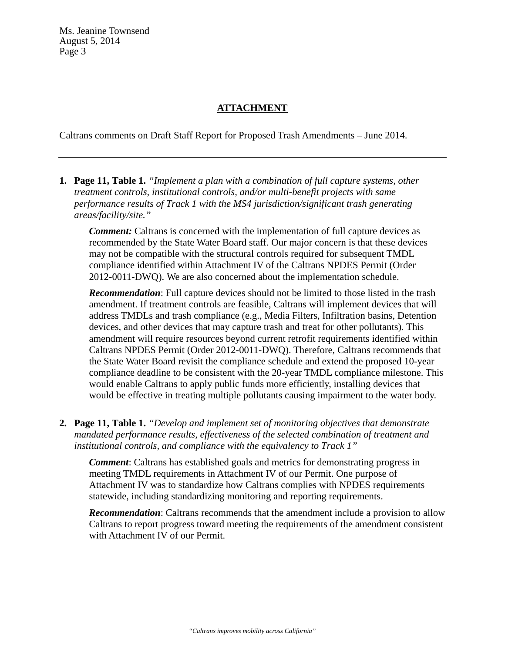# **ATTACHMENT**

Caltrans comments on Draft Staff Report for Proposed Trash Amendments – June 2014.

**1. Page 11, Table 1.** *"Implement a plan with a combination of full capture systems, other treatment controls, institutional controls, and/or multi-benefit projects with same performance results of Track 1 with the MS4 jurisdiction/significant trash generating areas/facility/site."*

*Comment:* Caltrans is concerned with the implementation of full capture devices as recommended by the State Water Board staff. Our major concern is that these devices may not be compatible with the structural controls required for subsequent TMDL compliance identified within Attachment IV of the Caltrans NPDES Permit (Order 2012-0011-DWQ). We are also concerned about the implementation schedule.

*Recommendation*: Full capture devices should not be limited to those listed in the trash amendment. If treatment controls are feasible, Caltrans will implement devices that will address TMDLs and trash compliance (e.g., Media Filters, Infiltration basins, Detention devices, and other devices that may capture trash and treat for other pollutants). This amendment will require resources beyond current retrofit requirements identified within Caltrans NPDES Permit (Order 2012-0011-DWQ). Therefore, Caltrans recommends that the State Water Board revisit the compliance schedule and extend the proposed 10-year compliance deadline to be consistent with the 20-year TMDL compliance milestone. This would enable Caltrans to apply public funds more efficiently, installing devices that would be effective in treating multiple pollutants causing impairment to the water body.

**2. Page 11, Table 1.** *"Develop and implement set of monitoring objectives that demonstrate mandated performance results, effectiveness of the selected combination of treatment and institutional controls, and compliance with the equivalency to Track 1"*

*Comment*: Caltrans has established goals and metrics for demonstrating progress in meeting TMDL requirements in Attachment IV of our Permit. One purpose of Attachment IV was to standardize how Caltrans complies with NPDES requirements statewide, including standardizing monitoring and reporting requirements.

*Recommendation*: Caltrans recommends that the amendment include a provision to allow Caltrans to report progress toward meeting the requirements of the amendment consistent with Attachment IV of our Permit.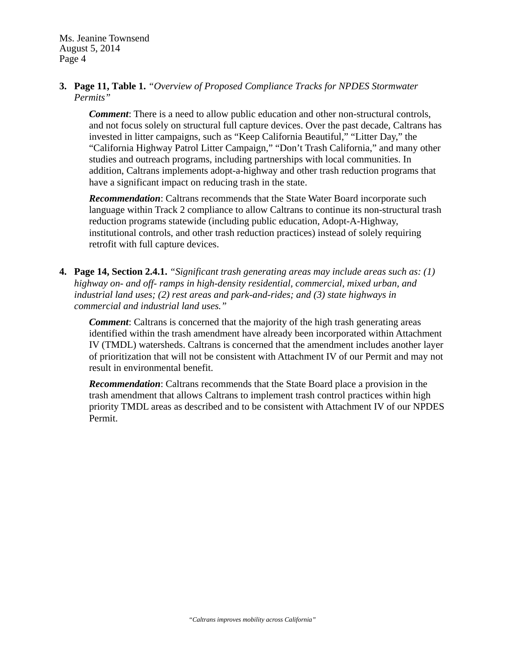### **3. Page 11, Table 1.** *"Overview of Proposed Compliance Tracks for NPDES Stormwater Permits"*

*Comment*: There is a need to allow public education and other non-structural controls, and not focus solely on structural full capture devices. Over the past decade, Caltrans has invested in litter campaigns, such as "Keep California Beautiful," "Litter Day," the "California Highway Patrol Litter Campaign," "Don't Trash California," and many other studies and outreach programs, including partnerships with local communities. In addition, Caltrans implements adopt-a-highway and other trash reduction programs that have a significant impact on reducing trash in the state.

*Recommendation*: Caltrans recommends that the State Water Board incorporate such language within Track 2 compliance to allow Caltrans to continue its non-structural trash reduction programs statewide (including public education, Adopt-A-Highway, institutional controls, and other trash reduction practices) instead of solely requiring retrofit with full capture devices.

**4. Page 14, Section 2.4.1.** *"Significant trash generating areas may include areas such as: (1) highway on- and off- ramps in high-density residential, commercial, mixed urban, and industrial land uses; (2) rest areas and park-and-rides; and (3) state highways in commercial and industrial land uses."*

*Comment*: Caltrans is concerned that the majority of the high trash generating areas identified within the trash amendment have already been incorporated within Attachment IV (TMDL) watersheds. Caltrans is concerned that the amendment includes another layer of prioritization that will not be consistent with Attachment IV of our Permit and may not result in environmental benefit.

*Recommendation*: Caltrans recommends that the State Board place a provision in the trash amendment that allows Caltrans to implement trash control practices within high priority TMDL areas as described and to be consistent with Attachment IV of our NPDES Permit.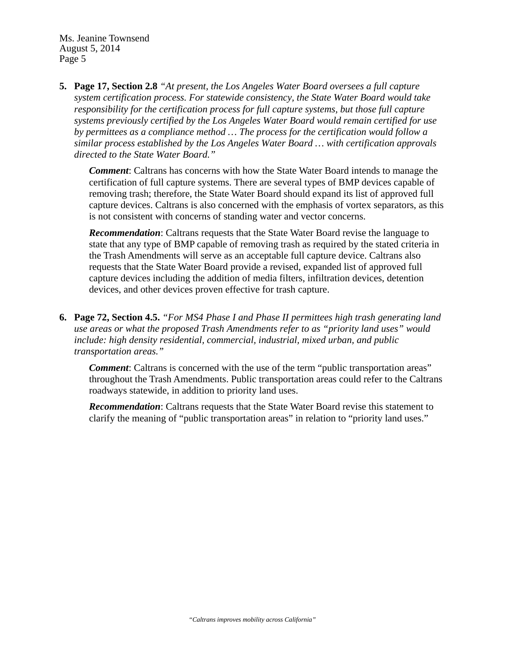**5. Page 17, Section 2.8** *"At present, the Los Angeles Water Board oversees a full capture system certification process. For statewide consistency, the State Water Board would take responsibility for the certification process for full capture systems, but those full capture systems previously certified by the Los Angeles Water Board would remain certified for use by permittees as a compliance method … The process for the certification would follow a similar process established by the Los Angeles Water Board … with certification approvals directed to the State Water Board."*

*Comment*: Caltrans has concerns with how the State Water Board intends to manage the certification of full capture systems. There are several types of BMP devices capable of removing trash; therefore, the State Water Board should expand its list of approved full capture devices. Caltrans is also concerned with the emphasis of vortex separators, as this is not consistent with concerns of standing water and vector concerns.

*Recommendation*: Caltrans requests that the State Water Board revise the language to state that any type of BMP capable of removing trash as required by the stated criteria in the Trash Amendments will serve as an acceptable full capture device. Caltrans also requests that the State Water Board provide a revised, expanded list of approved full capture devices including the addition of media filters, infiltration devices, detention devices, and other devices proven effective for trash capture.

**6. Page 72, Section 4.5.** *"For MS4 Phase I and Phase II permittees high trash generating land use areas or what the proposed Trash Amendments refer to as "priority land uses" would include: high density residential, commercial, industrial, mixed urban, and public transportation areas."* 

*Comment*: Caltrans is concerned with the use of the term "public transportation areas" throughout the Trash Amendments. Public transportation areas could refer to the Caltrans roadways statewide, in addition to priority land uses.

**Recommendation**: Caltrans requests that the State Water Board revise this statement to clarify the meaning of "public transportation areas" in relation to "priority land uses."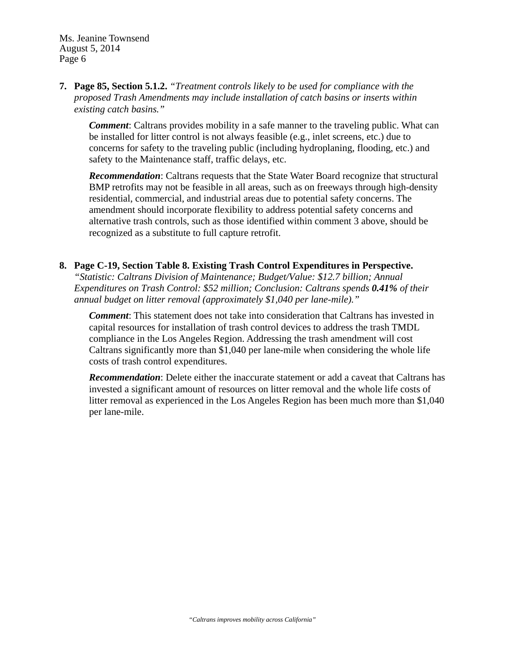# **7. Page 85, Section 5.1.2.** *"Treatment controls likely to be used for compliance with the proposed Trash Amendments may include installation of catch basins or inserts within existing catch basins."*

*Comment*: Caltrans provides mobility in a safe manner to the traveling public. What can be installed for litter control is not always feasible (e.g., inlet screens, etc.) due to concerns for safety to the traveling public (including hydroplaning, flooding, etc.) and safety to the Maintenance staff, traffic delays, etc.

*Recommendation*: Caltrans requests that the State Water Board recognize that structural BMP retrofits may not be feasible in all areas, such as on freeways through high-density residential, commercial, and industrial areas due to potential safety concerns. The amendment should incorporate flexibility to address potential safety concerns and alternative trash controls, such as those identified within comment 3 above, should be recognized as a substitute to full capture retrofit.

# **8. Page C-19, Section Table 8. Existing Trash Control Expenditures in Perspective.**

*"Statistic: Caltrans Division of Maintenance; Budget/Value: \$12.7 billion; Annual Expenditures on Trash Control: \$52 million; Conclusion: Caltrans spends 0.41% of their annual budget on litter removal (approximately \$1,040 per lane-mile)."*

*Comment*: This statement does not take into consideration that Caltrans has invested in capital resources for installation of trash control devices to address the trash TMDL compliance in the Los Angeles Region. Addressing the trash amendment will cost Caltrans significantly more than \$1,040 per lane-mile when considering the whole life costs of trash control expenditures.

*Recommendation*: Delete either the inaccurate statement or add a caveat that Caltrans has invested a significant amount of resources on litter removal and the whole life costs of litter removal as experienced in the Los Angeles Region has been much more than \$1,040 per lane-mile.